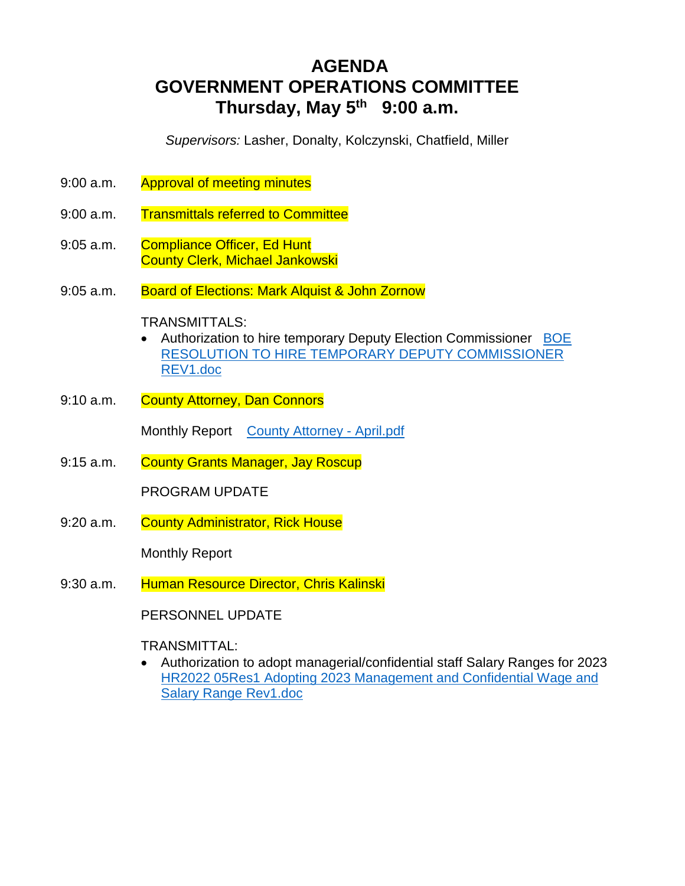# **AGENDA GOVERNMENT OPERATIONS COMMITTEE Thursday, May 5th 9:00 a.m.**

*Supervisors:* Lasher, Donalty, Kolczynski, Chatfield, Miller

- 9:00 a.m. Approval of meeting minutes
- 9:00 a.m. Transmittals referred to Committee
- 9:05 a.m. Compliance Officer, Ed Hunt County Clerk, Michael Jankowski
- 9:05 a.m. Board of Elections: Mark Alquist & John Zornow

## TRANSMITTALS:

- Authorization to hire temporary Deputy Election Commissioner BOE RESOLUTION TO HIRE TEMPORARY DEPUTY COMMISSIONER REV1.doc
- 9:10 a.m. County Attorney, Dan Connors

Monthly Report County Attorney - April.pdf

9:15 a.m. County Grants Manager, Jay Roscup

PROGRAM UPDATE

9:20 a.m. County Administrator, Rick House

Monthly Report

9:30 a.m. Human Resource Director, Chris Kalinski

PERSONNEL UPDATE

# TRANSMITTAL:

 Authorization to adopt managerial/confidential staff Salary Ranges for 2023 HR2022 05Res1 Adopting 2023 Management and Confidential Wage and Salary Range Rev1.doc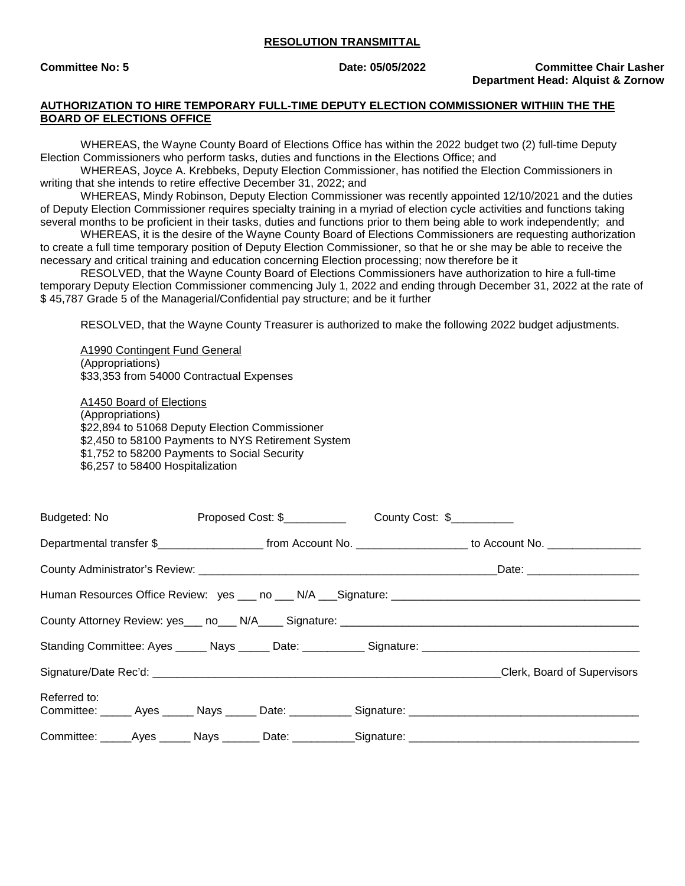#### **RESOLUTION TRANSMITTAL**

#### **AUTHORIZATION TO HIRE TEMPORARY FULL-TIME DEPUTY ELECTION COMMISSIONER WITHIIN THE THE BOARD OF ELECTIONS OFFICE**

WHEREAS, the Wayne County Board of Elections Office has within the 2022 budget two (2) full-time Deputy Election Commissioners who perform tasks, duties and functions in the Elections Office; and

WHEREAS, Joyce A. Krebbeks, Deputy Election Commissioner, has notified the Election Commissioners in writing that she intends to retire effective December 31, 2022; and

WHEREAS, Mindy Robinson, Deputy Election Commissioner was recently appointed 12/10/2021 and the duties of Deputy Election Commissioner requires specialty training in a myriad of election cycle activities and functions taking several months to be proficient in their tasks, duties and functions prior to them being able to work independently; and

WHEREAS, it is the desire of the Wayne County Board of Elections Commissioners are requesting authorization to create a full time temporary position of Deputy Election Commissioner, so that he or she may be able to receive the necessary and critical training and education concerning Election processing; now therefore be it

RESOLVED, that the Wayne County Board of Elections Commissioners have authorization to hire a full-time temporary Deputy Election Commissioner commencing July 1, 2022 and ending through December 31, 2022 at the rate of \$ 45,787 Grade 5 of the Managerial/Confidential pay structure; and be it further

RESOLVED, that the Wayne County Treasurer is authorized to make the following 2022 budget adjustments.

A1990 Contingent Fund General (Appropriations) \$33,353 from 54000 Contractual Expenses

A1450 Board of Elections (Appropriations) \$22,894 to 51068 Deputy Election Commissioner \$2,450 to 58100 Payments to NYS Retirement System \$1,752 to 58200 Payments to Social Security \$6,257 to 58400 Hospitalization

| Budgeted: No <b>Example</b> |  |                                                                                                                       |
|-----------------------------|--|-----------------------------------------------------------------------------------------------------------------------|
|                             |  | Departmental transfer \$________________________ from Account No. ____________________ to Account No. _______________ |
|                             |  |                                                                                                                       |
|                             |  |                                                                                                                       |
|                             |  |                                                                                                                       |
|                             |  |                                                                                                                       |
|                             |  | Clerk, Board of Supervisors                                                                                           |
| Referred to:                |  | Committee: Ayes Nays Date: Signature: Committee: Ayes Ayes Nays Date: Committee:                                      |
|                             |  | Committee: _____Ayes ______ Nays _______ Date: __________Signature: ________________________________                  |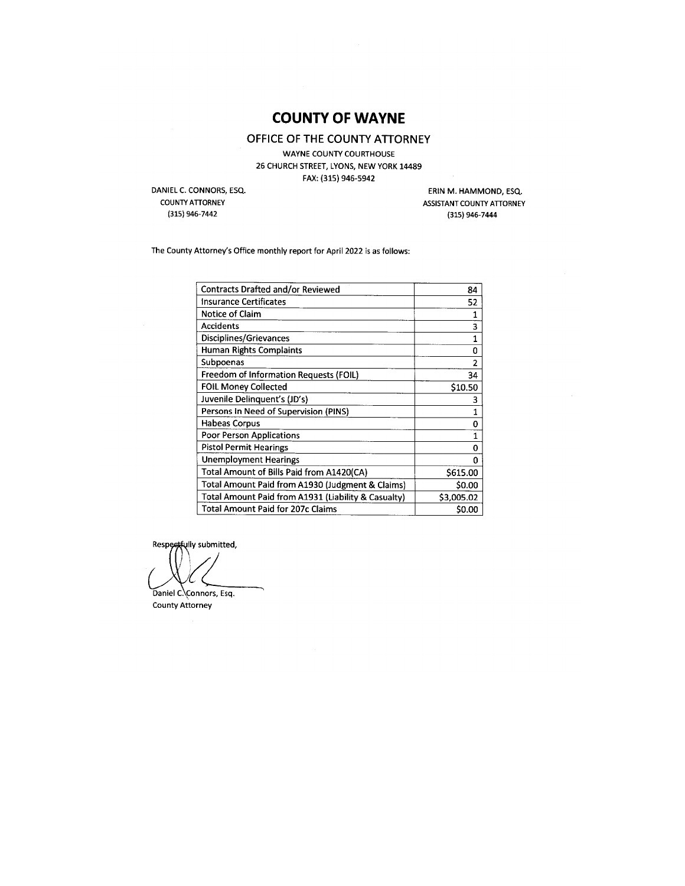# **COUNTY OF WAYNE**

OFFICE OF THE COUNTY ATTORNEY

**WAYNE COUNTY COURTHOUSE** 26 CHURCH STREET, LYONS, NEW YORK 14489 FAX: (315) 946-5942

DANIEL C. CONNORS, ESQ. **COUNTY ATTORNEY** 

(315) 946-7442

ERIN M. HAMMOND, ESQ. ASSISTANT COUNTY ATTORNEY (315) 946-7444

The County Attorney's Office monthly report for April 2022 is as follows:

| Contracts Drafted and/or Reviewed                   | 84             |
|-----------------------------------------------------|----------------|
| <b>Insurance Certificates</b>                       | 52             |
| Notice of Claim                                     | 1              |
| <b>Accidents</b>                                    | 3              |
| Disciplines/Grievances                              | 1              |
| <b>Human Rights Complaints</b>                      | ٥              |
| Subpoenas                                           | $\overline{2}$ |
| Freedom of Information Requests (FOIL)              | 34             |
| <b>FOIL Money Collected</b>                         | \$10.50        |
| Juvenile Delinguent's (JD's)                        | 3              |
| Persons In Need of Supervision (PINS)               | 1              |
| <b>Habeas Corpus</b>                                | 0              |
| <b>Poor Person Applications</b>                     | 1              |
| <b>Pistol Permit Hearings</b>                       | 0              |
| <b>Unemployment Hearings</b>                        | 0              |
| Total Amount of Bills Paid from A1420(CA)           | \$615.00       |
| Total Amount Paid from A1930 (Judgment & Claims)    | <b>S0.00</b>   |
| Total Amount Paid from A1931 (Liability & Casualty) | \$3,005.02     |
| Total Amount Paid for 207c Claims                   | \$0.00         |

Respectfully submitted,

Daniel C. Connors, Esq.

**County Attorney**